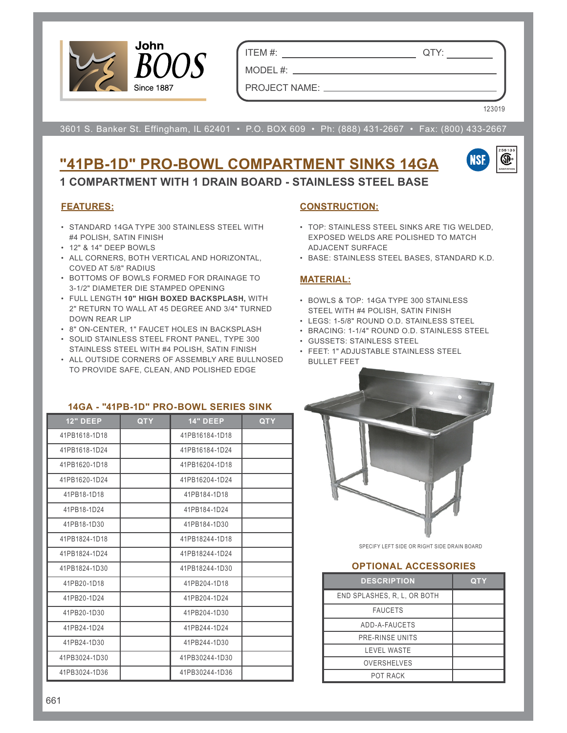

ITEM #: QTY:

MODEL #: PROJECT NAME:

123019

3601 S. Banker St. Effingham, IL 62401 • P.O. BOX 609 • Ph: (888) 431-2667 • Fax: (800) 433-2667

# **"41PB-1D" PRO-BOWL COMPARTMENT SINKS 14GA**



**1 COMPARTMENT WITH 1 DRAIN BOARD - STAINLESS STEEL BASE**

#### **FEATURES:**

- STANDARD 14GA TYPE 300 STAINLESS STEEL WITH #4 POLISH, SATIN FINISH
- 12" & 14" DEEP BOWLS
- ALL CORNERS, BOTH VERTICAL AND HORIZONTAL, COVED AT 5/8" RADIUS
- BOTTOMS OF BOWLS FORMED FOR DRAINAGE TO 3-1/2" DIAMETER DIE STAMPED OPENING
- FULL LENGTH **10" HIGH BOXED BACKSPLASH,** WITH 2" RETURN TO WALL AT 45 DEGREE AND 3/4" TURNED DOWN REAR LIP
- 8" ON-CENTER, 1" FAUCET HOLES IN BACKSPLASH
- SOLID STAINLESS STEEL FRONT PANEL, TYPE 300 STAINLESS STEEL WITH #4 POLISH, SATIN FINISH
- ALL OUTSIDE CORNERS OF ASSEMBLY ARE BULLNOSED TO PROVIDE SAFE, CLEAN, AND POLISHED EDGE

### **14GA - "41PB-1D" PRO-BOWL SERIES SINK 12" DEEP QTY 14" DEEP QTY** 41PB1618-1D18 41PB16184-1D18 41PB1618-1D24 41PB16184-1D24 41PB1620-1D18 41PB16204-1D18 41PB1620-1D24 41PB16204-1D24 41PB18-1D18 41PB184-1D18 41PB18-1D24 41PB184-1D24 41PB18-1D30 41PB184-1D30 41PB1824-1D18 41PB18244-1D18 41PB1824-1D24 **41PB18244-1D24** 41PB1824-1D30 41PB18244-1D30 41PB20-1D18 41PB204-1D18 41PB20-1D24 41PB204-1D24 41PB20-1D30 41PB204-1D30 41PB24-1D24 41PB244-1D24 41PB24-1D30 41PB244-1D30 41PB3024-1D30 41PB30244-1D30 41PB3024-1D36 41PB30244-1D36

#### **CONSTRUCTION:**

- TOP: STAINLESS STEEL SINKS ARE TIG WELDED, EXPOSED WELDS ARE POLISHED TO MATCH ADJACENT SURFACE
- BASE: STAINLESS STEEL BASES, STANDARD K.D.

#### **MATERIAL:**

- BOWLS & TOP: 14GA TYPE 300 STAINLESS STEEL WITH #4 POLISH, SATIN FINISH
- LEGS: 1-5/8" ROUND O.D. STAINLESS STEEL
- BRACING: 1-1/4" ROUND O.D. STAINLESS STEEL
- GUSSETS: STAINLESS STEEL
- FEET: 1" ADJUSTABLE STAINLESS STEEL BULLET FEET



SPECIFY LEFT SIDE OR RIGHT SIDE DRAIN BOARD

#### **OPTIONAL ACCESSORIES**

| <b>DESCRIPTION</b>          | <b>QTY</b> |
|-----------------------------|------------|
| END SPLASHES, R. L. OR BOTH |            |
| <b>FAUCETS</b>              |            |
| ADD-A-FAUCETS               |            |
| <b>PRE-RINSE UNITS</b>      |            |
| <b>LEVEL WASTE</b>          |            |
| <b>OVERSHELVES</b>          |            |
| POT RACK                    |            |